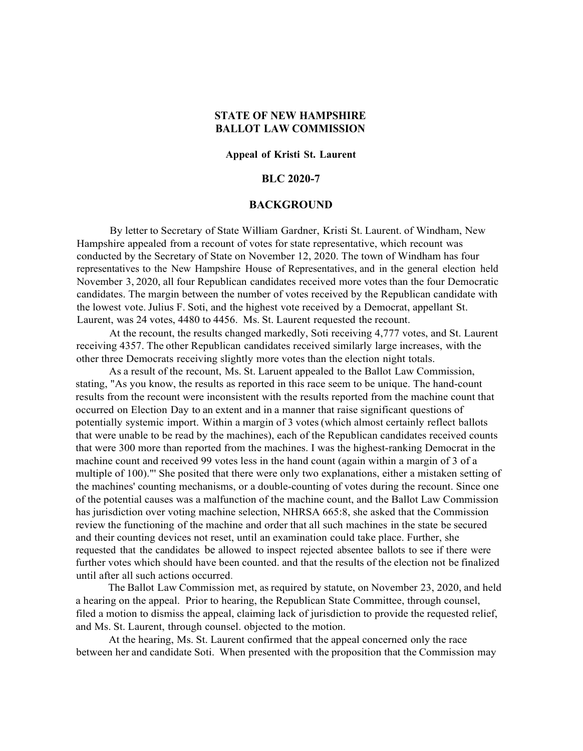# **STATE OF NEW HAMPSHIRE BALLOT LAW COMMISSION**

#### **Appeal of Kristi St. Laurent**

# **BLC 2020-7**

## **BACKGROUND**

By letter to Secretary of State William Gardner, Kristi St. Laurent. of Windham, New Hampshire appealed from a recount of votes for state representative, which recount was conducted by the Secretary of State on November 12, 2020. The town of Windham has four representatives to the New Hampshire House of Representatives, and in the general election held November 3, 2020, all four Republican candidates received more votes than the four Democratic candidates. The margin between the number of votes received by the Republican candidate with the lowest vote. Julius F. Soti, and the highest vote received by a Democrat, appellant St. Laurent, was 24 votes, 4480 to 4456. Ms. St. Laurent requested the recount.

At the recount, the results changed markedly, Soti receiving 4,777 votes, and St. Laurent receiving 4357. The other Republican candidates received similarly large increases, with the other three Democrats receiving slightly more votes than the election night totals.

As a result of the recount, Ms. St. Laruent appealed to the Ballot Law Commission, stating, "As you know, the results as reported in this race seem to be unique. The hand-count results from the recount were inconsistent with the results reported from the machine count that occurred on Election Day to an extent and in a manner that raise significant questions of potentially systemic import. Within a margin of 3 votes (which almost certainly reflect ballots that were unable to be read by the machines), each of the Republican candidates received counts that were 300 more than reported from the machines. I was the highest-ranking Democrat in the machine count and received 99 votes less in the hand count (again within a margin of 3 of a multiple of 100)."' She posited that there were only two explanations, either a mistaken setting of the machines' counting mechanisms, or a double-counting of votes during the recount. Since one of the potential causes was a malfunction of the machine count, and the Ballot Law Commission has jurisdiction over voting machine selection, NHRSA 665:8, she asked that the Commission review the functioning of the machine and order that all such machines in the state be secured and their counting devices not reset, until an examination could take place. Further, she requested that the candidates be allowed to inspect rejected absentee ballots to see if there were further votes which should have been counted. and that the results of the election not be finalized until after all such actions occurred.

The Ballot Law Commission met, as required by statute, on November 23, 2020, and held a hearing on the appeal. Prior to hearing, the Republican State Committee, through counsel, filed a motion to dismiss the appeal, claiming lack of jurisdiction to provide the requested relief, and Ms. St. Laurent, through counsel. objected to the motion.

At the hearing, Ms. St. Laurent confirmed that the appeal concerned only the race between her and candidate Soti. When presented with the proposition that the Commission may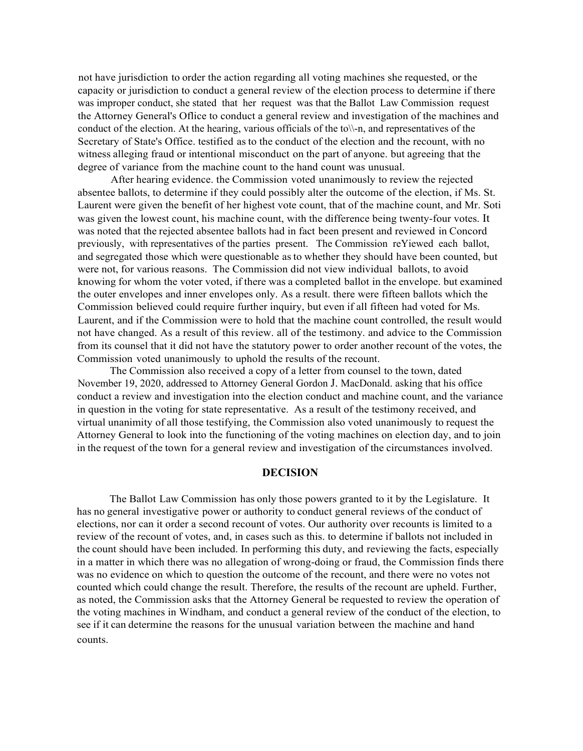not have jurisdiction to order the action regarding all voting machines she requested, or the capacity or jurisdiction to conduct a general review of the election process to determine if there was improper conduct, she stated that her request was that the Ballot Law Commission request the Attorney General's Oflice to conduct a general review and investigation of the machines and conduct of the election. At the hearing, various officials of the to.  $\ln$ , and representatives of the Secretary of State's Office. testified as to the conduct of the election and the recount, with no witness alleging fraud or intentional misconduct on the part of anyone. but agreeing that the degree of variance from the machine count to the hand count was unusual.

After hearing evidence. the Commission voted unanimously to review the rejected absentee ballots, to determine if they could possibly alter the outcome of the election, if Ms. St. Laurent were given the benefit of her highest vote count, that of the machine count, and Mr. Soti was given the lowest count, his machine count, with the difference being twenty-four votes. It was noted that the rejected absentee ballots had in fact been present and reviewed in Concord previously, with representatives of the parties present. The Commission reYiewed each ballot, and segregated those which were questionable asto whether they should have been counted, but were not, for various reasons. The Commission did not view individual ballots, to avoid knowing for whom the voter voted, if there was a completed ballot in the envelope. but examined the outer envelopes and inner envelopes only. As a result. there were fifteen ballots which the Commission believed could require further inquiry, but even if all fifteen had voted for Ms. Laurent, and if the Commission were to hold that the machine count controlled, the result would not have changed. As a result of this review. all of the testimony. and advice to the Commission from its counsel that it did not have the statutory power to order another recount of the votes, the Commission voted unanimously to uphold the results of the recount.

The Commission also received a copy of a letter from counsel to the town, dated November 19, 2020, addressed to Attorney General Gordon J. MacDonald. asking that his office conduct a review and investigation into the election conduct and machine count, and the variance in question in the voting for state representative. As a result of the testimony received, and virtual unanimity of all those testifying, the Commission also voted unanimously to request the Attorney General to look into the functioning of the voting machines on election day, and to join in the request of the town for a general review and investigation of the circumstances involved.

## **DECISION**

The Ballot Law Commission has only those powers granted to it by the Legislature. It has no general investigative power or authority to conduct general reviews of the conduct of elections, nor can it order a second recount of votes. Our authority over recounts is limited to a review of the recount of votes, and, in cases such as this. to determine if ballots not included in the count should have been included. In performing this duty, and reviewing the facts, especially in a matter in which there was no allegation of wrong-doing or fraud, the Commission finds there was no evidence on which to question the outcome of the recount, and there were no votes not counted which could change the result. Therefore, the results of the recount are upheld. Further, as noted, the Commission asks that the Attorney General be requested to review the operation of the voting machines in Windham, and conduct a general review of the conduct of the election, to see if it can determine the reasons for the unusual variation between the machine and hand counts.